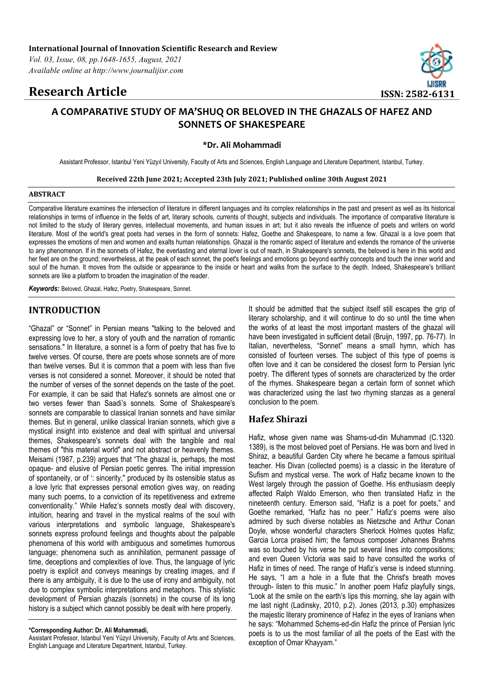# **Research Article ISSN: 2582-6131**



# **A COMPARATIVE STUDY OF MA'SHUQ OR BELOVED IN THE GHAZALS OF HAFEZ AND SONNETS OF SHAKESPEARE**

**\*Dr. Ali Mohammadi**

Assistant Professor, Istanbul Yeni Yüzyıl University, Faculty of Arts and Sciences, English Language and Literature Department, Istanbul, Turkey.

**Received 22th June 2021; Accepted 23th July 2021; Published online 30th August 2021**

#### **ABSTRACT**

Comparative literature examines the intersection of literature in different languages and its complex relationships in the past and present as well as its historical relationships in terms of influence in the fields of art, literary schools, currents of thought, subjects and individuals. The importance of comparative literature is not limited to the study of literary genres, intellectual movements, and human issues in art; but it also reveals the influence of poets and writers on world literature. Most of the world's great poets had verses in the form of sonnets: Hafez, Goethe and Shakespeare, to name a few. Ghazal is a love poem that expresses the emotions of men and women and exalts human relationships. Ghazal is the romantic aspect of literature and extends the romance of the universe to any phenomenon. If in the sonnets of Hafez, the everlasting and eternal lover is out of reach, in Shakespeare's sonnets, the beloved is here in this world and her feet are on the ground; nevertheless, at the peak of each sonnet, the poet's feelings and emotions go beyond earthly concepts and touch the inner world and soul of the human. It moves from the outside or appearance to the inside or heart and walks from the surface to the depth. Indeed, Shakespeare's brilliant sonnets are like a platform to broaden the imagination of the reader.

*Keywords:* Beloved, Ghazal, Hafez, Poetry, Shakespeare, Sonnet.

# **INTRODUCTION**

"Ghazal" or "Sonnet" in Persian means "talking to the beloved and expressing love to her, a story of youth and the narration of romantic sensations." In literature, a sonnet is a form of poetry that has five to twelve verses. Of course, there are poets whose sonnets are of more than twelve verses. But it is common that a poem with less than five verses is not considered a sonnet. Moreover, it should be noted that the number of verses of the sonnet depends on the taste of the poet. For example, it can be said that Hafez's sonnets are almost one or two verses fewer than Saadi's sonnets. Some of Shakespeare's sonnets are comparable to classical Iranian sonnets and have similar themes. But in general, unlike classical Iranian sonnets, which give a mystical insight into existence and deal with spiritual and universal themes, Shakespeare's sonnets deal with the tangible and real themes of "this material world" and not abstract or heavenly themes. Meisami (1987, p.239) argues that "The ghazal is, perhaps, the most opaque- and elusive of Persian poetic genres. The initial impression of spontaneity, or of ': sincerity," produced by its ostensible status as a love lyric that expresses personal emotion gives way, on reading many such poems, to a conviction of its repetitiveness and extreme conventionality." While Hafez's sonnets mostly deal with discovery, intuition, hearing and travel in the mystical realms of the soul with various interpretations and symbolic language, Shakespeare's sonnets express profound feelings and thoughts about the palpable phenomena of this world with ambiguous and sometimes humorous language; phenomena such as annihilation, permanent passage of time, deceptions and complexities of love. Thus, the language of lyric poetry is explicit and conveys meanings by creating images, and if there is any ambiguity, it is due to the use of irony and ambiguity, not due to complex symbolic interpretations and metaphors. This stylistic development of Persian ghazals (sonnets) in the course of its long history is a subject which cannot possibly be dealt with here properly.

Assistant Professor, Istanbul Yeni Yüzyıl University, Faculty of Arts and Sciences, English Language and Literature Department, Istanbul, Turkey.

It should be admitted that the subject itself still escapes the grip of literary scholarship, and it will continue to do so until the time when the works of at least the most important masters of the ghazal will have been investigated in sufficient detail (Bruijn, 1997, pp. 76-77). In Italian, nevertheless, "Sonnet" means a small hymn, which has consisted of fourteen verses. The subject of this type of poems is often love and it can be considered the closest form to Persian lyric poetry. The different types of sonnets are characterized by the order of the rhymes. Shakespeare began a certain form of sonnet which was characterized using the last two rhyming stanzas as a general conclusion to the poem.

# **Hafez Shirazi**

Hafiz, whose given name was Shams-ud-din Muhammad (C.1320. 1389), is the most beloved poet of Persians. He was born and lived in Shiraz, a beautiful Garden City where he became a famous spiritual teacher. His Divan (collected poems) is a classic in the literature of Sufism and mystical verse. The work of Hafiz became known to the West largely through the passion of Goethe. His enthusiasm deeply affected Ralph Waldo Emerson, who then translated Hafiz in the nineteenth century. Emerson said, "Hafiz is a poet for poets," and Goethe remarked, "Hafiz has no peer." Hafiz's poems were also admired by such diverse notables as Nietzsche and Arthur Conan Doyle, whose wonderful characters Sherlock Holmes quotes Hafiz; Garcia Lorca praised him; the famous composer Johannes Brahms was so touched by his verse he put several lines into compositions: and even Queen Victoria was said to have consulted the works of Hafiz in times of need. The range of Hafiz's verse is indeed stunning. He says, "I am a hole in a flute that the Christ's breath moves through- listen to this music." In another poem Hafiz playfully sings, "Look at the smile on the earth's lips this morning, she lay again with me last night (Ladinsky, 2010, p.2). Jones (2013, p.30) emphasizes the majestic literary prominence of Hafez in the eyes of Iranians when he says: "Mohammed Schems-ed-din Hafiz the prince of Persian lyric poets is to us the most familiar of all the poets of the East with the exception of Omar Khayyam."

**<sup>\*</sup>Corresponding Author: Dr. Ali Mohammadi,**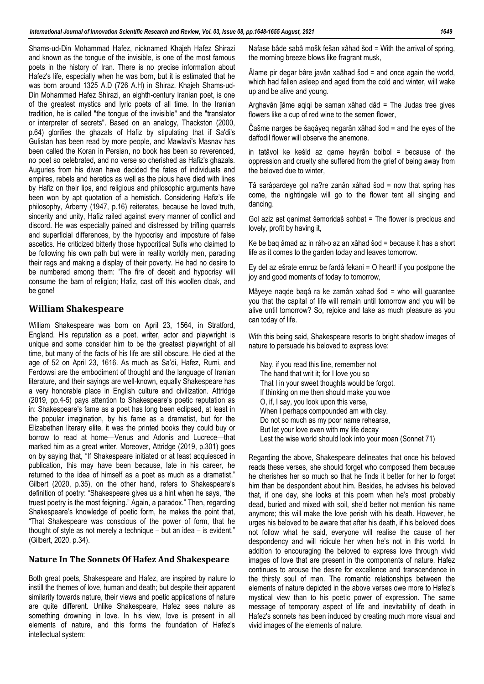Shams-ud-Din Mohammad Hafez, nicknamed Khajeh Hafez Shirazi and known as the tongue of the invisible, is one of the most famous poets in the history of Iran. There is no precise information about Hafez's life, especially when he was born, but it is estimated that he was born around 1325 A.D (726 A.H) in Shiraz. Khajeh Shams-ud-Din Mohammad Hafez Shirazi, an eighth-century Iranian poet, is one of the greatest mystics and lyric poets of all time. In the Iranian tradition, he is called "the tongue of the invisible" and the "translator or interpreter of secrets". Based on an analogy, Thackston (2000, p.64) glorifies the ghazals of Hafiz by stipulating that if Sa'di's Gulistan has been read by more people, and Mawlavi's Masnav has been called the Koran in Persian, no book has been so reverenced, no poet so celebrated, and no verse so cherished as Hafiz's ghazals. Auguries from his divan have decided the fates of individuals and empires, rebels and heretics as well as the pious have died with lines by Hafiz on their lips, and religious and philosophic arguments have been won by apt quotation of a hemistich. Considering Hafiz's life philosophy, Arberry (1947, p.16) reiterates, because he loved truth, sincerity and unity, Hafiz railed against every manner of conflict and discord. He was especially pained and distressed by trifling quarrels and superficial differences, by the hypocrisy and imposture of false ascetics. He criticized bitterly those hypocritical Sufis who claimed to be following his own path but were in reality worldly men, parading their rags and making a display of their poverty. He had no desire to be numbered among them: 'The fire of deceit and hypocrisy will consume the barn of religion; Hafiz, cast off this woollen cloak, and be gone!

# **William Shakespeare**

William Shakespeare was born on April 23, 1564, in Stratford, England. His reputation as a poet, writer, actor and playwright is unique and some consider him to be the greatest playwright of all time, but many of the facts of his life are still obscure. He died at the age of 52 on April 23, 1616. As much as Sa'di, Hafez, Rumi, and Ferdowsi are the embodiment of thought and the language of Iranian literature, and their sayings are well-known, equally Shakespeare has a very honorable place in English culture and civilization. Attridge (2019, pp.4-5) pays attention to Shakespeare's poetic reputation as in: Shakespeare's fame as a poet has long been eclipsed, at least in the popular imagination, by his fame as a dramatist, but for the Elizabethan literary elite, it was the printed books they could buy or borrow to read at home—Venus and Adonis and Lucrece—that marked him as a great writer. Moreover, Attridge (2019, p.301) goes on by saying that, "If Shakespeare initiated or at least acquiesced in publication, this may have been because, late in his career, he returned to the idea of himself as a poet as much as a dramatist." Gilbert (2020, p.35), on the other hand, refers to Shakespeare's definition of poetry: "Shakespeare gives us a hint when he says, "the truest poetry is the most feigning." Again, a paradox." Then, regarding Shakespeare's knowledge of poetic form, he makes the point that, "That Shakespeare was conscious of the power of form, that he thought of style as not merely a technique – but an idea – is evident." (Gilbert, 2020, p.34).

## **Nature In The Sonnets Of Hafez And Shakespeare**

Both great poets, Shakespeare and Hafez, are inspired by nature to instill the themes of love, human and death; but despite their apparent similarity towards nature, their views and poetic applications of nature are quite different. Unlike Shakespeare, Hafez sees nature as something drowning in love. In his view, love is present in all elements of nature, and this forms the foundation of Hafez's intellectual system:

Nafase bâde sabâ mošk fešan xâhad šod = With the arrival of spring, the morning breeze blows like fragrant musk,

 $\hat{A}$ lame pir degar bâre javân xaâhad šod = and once again the world, which had fallen asleep and aged from the cold and winter, will wake up and be alive and young.

Arghavân ǰâme aqiqi be saman xâhad dâd = The Judas tree gives flowers like a cup of red wine to the semen flower,

Čašme narges be šaqâyeq negarân xâhad šod = and the eyes of the daffodil flower will observe the anemone.

in tatâvol ke kešid az qame heyrân bolbol = because of the oppression and cruelty she suffered from the grief of being away from the beloved due to winter,

Tâ sarâpardeye gol na?re zanân xâhad šod = now that spring has come, the nightingale will go to the flower tent all singing and dancing.

Gol aziz ast qanimat šemoridaš sohbat = The flower is precious and lovely, profit by having it,

Ke be baq âmad az in râh-o az an xâhad šod = because it has a short life as it comes to the garden today and leaves tomorrow.

Ey del az ešrate emruz be fardâ fekani = O heart! if you postpone the joy and good moments of today to tomorrow,

Mâyeye naqde baqâ ra ke zamân xahad šod = who will guarantee you that the capital of life will remain until tomorrow and you will be alive until tomorrow? So, rejoice and take as much pleasure as you can today of life.

With this being said, Shakespeare resorts to bright shadow images of nature to persuade his beloved to express love:

Nay, if you read this line, remember not The hand that writ it; for I love you so That I in your sweet thoughts would be forgot. If thinking on me then should make you woe O, if, I say, you look upon this verse, When I perhaps compounded am with clay. Do not so much as my poor name rehearse, But let your love even with my life decay Lest the wise world should look into your moan (Sonnet 71)

Regarding the above, Shakespeare delineates that once his beloved reads these verses, she should forget who composed them because he cherishes her so much so that he finds it better for her to forget him than be despondent about him. Besides, he advises his beloved that, if one day, she looks at this poem when he's most probably dead, buried and mixed with soil, she'd better not mention his name anymore; this will make the love perish with his death. However, he urges his beloved to be aware that after his death, if his beloved does not follow what he said, everyone will realise the cause of her despondency and will ridicule her when he's not in this world. In addition to encouraging the beloved to express love through vivid images of love that are present in the components of nature, Hafez continues to arouse the desire for excellence and transcendence in the thirsty soul of man. The romantic relationships between the elements of nature depicted in the above verses owe more to Hafez's mystical view than to his poetic power of expression. The same message of temporary aspect of life and inevitability of death in Hafez's sonnets has been induced by creating much more visual and vivid images of the elements of nature.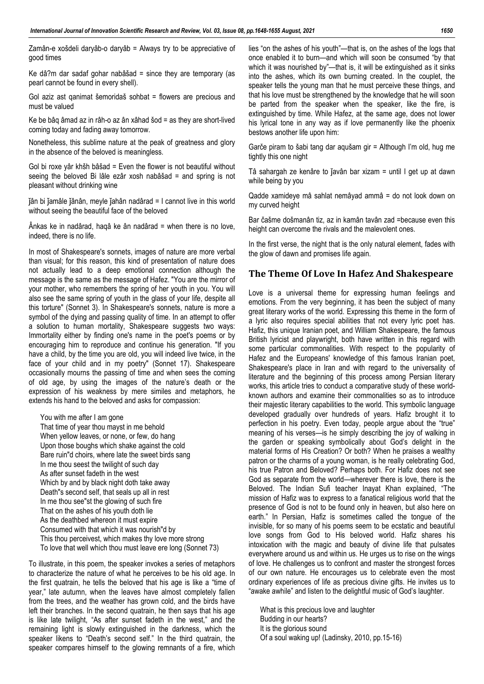Zamân-e xošdeli daryâb-o daryâb = Always try to be appreciative of good times

Ke dâ?m dar sadaf gohar nabâšad = since they are temporary (as pearl cannot be found in every shell).

Gol aziz ast qanimat šemoridaš sohbat = flowers are precious and must be valued

Ke be bâq âmad az in râh-o az ân xâhad šod = as they are short-lived coming today and fading away tomorrow.

Nonetheless, this sublime nature at the peak of greatness and glory in the absence of the beloved is meaningless.

Gol bi roxe yâr khšh bâšad = Even the flower is not beautiful without seeing the beloved Bi lâle ezâr xosh nabâšad = and spring is not pleasant without drinking wine

ǰân bi ǰamâle ǰânân, meyle ǰahân nadârad = I cannot live in this world without seeing the beautiful face of the beloved

Ânkas ke in nadârad, haqâ ke ân nadârad = when there is no love, indeed, there is no life.

In most of Shakespeare's sonnets, images of nature are more verbal than visual; for this reason, this kind of presentation of nature does not actually lead to a deep emotional connection although the message is the same as the message of Hafez. "You are the mirror of your mother, who remembers the spring of her youth in you. You will also see the same spring of youth in the glass of your life, despite all this torture" (Sonnet 3). In Shakespeare's sonnets, nature is more a symbol of the dying and passing quality of time. In an attempt to offer a solution to human mortality, Shakespeare suggests two ways: Immortality either by finding one's name in the poet's poems or by encouraging him to reproduce and continue his generation. "If you have a child, by the time you are old, you will indeed live twice, in the face of your child and in my poetry" (Sonnet 17). Shakespeare occasionally mourns the passing of time and when sees the coming of old age, by using the images of the nature's death or the expression of his weakness by mere similes and metaphors, he extends his hand to the beloved and asks for compassion:

You with me after I am gone That time of year thou mayst in me behold When yellow leaves, or none, or few, do hang Upon those boughs which shake against the cold Bare ruin"d choirs, where late the sweet birds sang In me thou seest the twilight of such day As after sunset fadeth in the west Which by and by black night doth take away Death"s second self, that seals up all in rest In me thou see"st the glowing of such fire That on the ashes of his youth doth lie As the deathbed whereon it must expire Consumed with that which it was nourish"d by This thou perceivest, which makes thy love more strong To love that well which thou must leave ere long (Sonnet 73)

To illustrate, in this poem, the speaker invokes a series of metaphors to characterize the nature of what he perceives to be his old age. In the first quatrain, he tells the beloved that his age is like a "time of year," late autumn, when the leaves have almost completely fallen from the trees, and the weather has grown cold, and the birds have left their branches. In the second quatrain, he then says that his age is like late twilight, "As after sunset fadeth in the west," and the remaining light is slowly extinguished in the darkness, which the speaker likens to "Death's second self." In the third quatrain, the speaker compares himself to the glowing remnants of a fire, which

lies "on the ashes of his youth"—that is, on the ashes of the logs that once enabled it to burn—and which will soon be consumed "by that which it was nourished by"—that is, it will be extinguished as it sinks into the ashes, which its own burning created. In the couplet, the speaker tells the young man that he must perceive these things, and that his love must be strengthened by the knowledge that he will soon be parted from the speaker when the speaker, like the fire, is extinguished by time. While Hafez, at the same age, does not lower his lyrical tone in any way as if love permanently like the phoenix bestows another life upon him:

Garče piram to šabi tang dar aqušam gir = Although I'm old, hug me tightly this one night

Tâ sahargah ze kenâre to ǰavân bar xizam = until I get up at dawn while being by you

Qadde xamideye mâ sahlat nemâyad ammâ = do not look down on my curved height

Bar čašme došmanân tiz, az in kamân tavân zad =because even this height can overcome the rivals and the malevolent ones.

In the first verse, the night that is the only natural element, fades with the glow of dawn and promises life again.

# **The Theme Of Love In Hafez And Shakespeare**

Love is a universal theme for expressing human feelings and emotions. From the very beginning, it has been the subject of many great literary works of the world. Expressing this theme in the form of a lyric also requires special abilities that not every lyric poet has. Hafiz, this unique Iranian poet, and William Shakespeare, the famous British lyricist and playwright, both have written in this regard with some particular commonalities. With respect to the popularity of Hafez and the Europeans' knowledge of this famous Iranian poet, Shakespeare's place in Iran and with regard to the universality of literature and the beginning of this process among Persian literary works, this article tries to conduct a comparative study of these worldknown authors and examine their commonalities so as to introduce their majestic literary capabilities to the world. This symbolic language developed gradually over hundreds of years. Hafiz brought it to perfection in his poetry. Even today, people argue about the "true" meaning of his verses—is he simply describing the joy of walking in the garden or speaking symbolically about God's delight in the material forms of His Creation? Or both? When he praises a wealthy patron or the charms of a young woman, is he really celebrating God, his true Patron and Beloved? Perhaps both. For Hafiz does not see God as separate from the world—wherever there is love, there is the Beloved. The Indian Sufi teacher Inayat Khan explained, "The mission of Hafiz was to express to a fanatical religious world that the presence of God is not to be found only in heaven, but also here on earth." In Persian, Hafiz is sometimes called the tongue of the invisible, for so many of his poems seem to be ecstatic and beautiful love songs from God to His beloved world. Hafiz shares his intoxication with the magic and beauty of divine life that pulsates everywhere around us and within us. He urges us to rise on the wings of love. He challenges us to confront and master the strongest forces of our own nature. He encourages us to celebrate even the most ordinary experiences of life as precious divine gifts. He invites us to "awake awhile" and listen to the delightful music of God's laughter.

What is this precious love and laughter Budding in our hearts? It is the glorious sound Of a soul waking up! (Ladinsky, 2010, pp.15-16)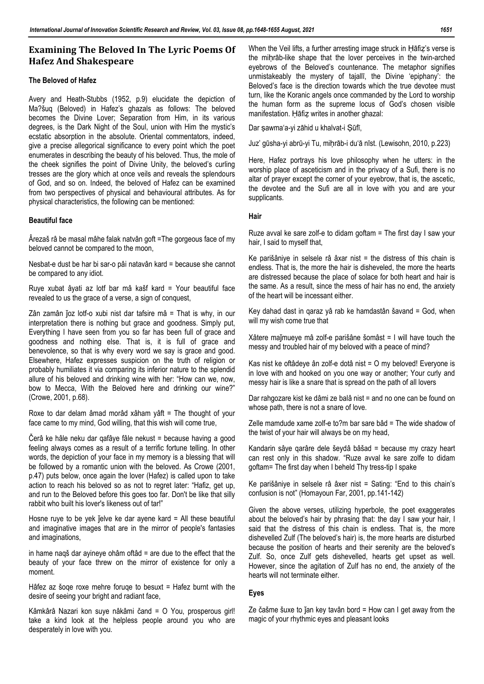# **Examining The Beloved In The Lyric Poems Of Hafez And Shakespeare**

# **The Beloved of Hafez**

Avery and Heath-Stubbs (1952, p.9) elucidate the depiction of Ma?šuq (Beloved) in Hafez's ghazals as follows: The beloved becomes the Divine Lover; Separation from Him, in its various degrees, is the Dark Night of the Soul, union with Him the mystic's ecstatic absorption in the absolute. Oriental commentators, indeed, give a precise allegorical significance to every point which the poet enumerates in describing the beauty of his beloved. Thus, the mole of the cheek signifies the point of Divine Unity, the beloved's curling tresses are the glory which at once veils and reveals the splendours of God, and so on. Indeed, the beloved of Hafez can be examined from two perspectives of physical and behavioural attributes. As for physical characteristics, the following can be mentioned:

### **Beautiful face**

Ârezaš râ be masal mâhe falak natvân goft =The gorgeous face of my beloved cannot be compared to the moon,

Nesbat-e dust be har bi sar-o pâi natavân kard = because she cannot be compared to any idiot.

Ruye xubat âyati az lotf bar mâ kašf kard = Your beautiful face revealed to us the grace of a verse, a sign of conquest,

Zân zamân joz lotf-o xubi nist dar tafsire mâ = That is why, in our interpretation there is nothing but grace and goodness. Simply put, Everything I have seen from you so far has been full of grace and goodness and nothing else. That is, it is full of grace and benevolence, so that is why every word we say is grace and good. Elsewhere, Hafez expresses suspicion on the truth of religion or probably humiliates it via comparing its inferior nature to the splendid allure of his beloved and drinking wine with her: "How can we, now, bow to Mecca, With the Beloved here and drinking our wine?" (Crowe, 2001, p.68).

Roxe to dar delam âmad morâd xâham yâft = The thought of your face came to my mind, God willing, that this wish will come true,

Čerâ ke hâle neku dar qafâye fâle nekust = because having a good feeling always comes as a result of a terrific fortune telling. In other words, the depiction of your face in my memory is a blessing that will be followed by a romantic union with the beloved. As Crowe (2001, p.47) puts below, once again the lover (Hafez) is called upon to take action to reach his beloved so as not to regret later: "Hafiz, get up, and run to the Beloved before this goes too far. Don't be like that silly rabbit who built his lover's likeness out of tar!"

Hosne ruye to be yek jelve ke dar ayene kard = All these beautiful and imaginative images that are in the mirror of people's fantasies and imaginations,

in hame naqš dar ayineye ohâm oftâd = are due to the effect that the beauty of your face threw on the mirror of existence for only a moment.

Hâfez az šoqe roxe mehre foruqe to besuxt  $=$  Hafez burnt with the desire of seeing your bright and radiant face,

Kâmkârâ Nazari kon suye nâkâmi čand = O You, prosperous girl! take a kind look at the helpless people around you who are desperately in love with you.

When the Veil lifts, a further arresting image struck in Ḥāfiẓ's verse is the miḥrāb-like shape that the lover perceives in the twin-arched eyebrows of the Beloved's countenance. The metaphor signifies unmistakeably the mystery of tajallī, the Divine 'epiphany': the Beloved's face is the direction towards which the true devotee must turn, like the Koranic angels once commanded by the Lord to worship the human form as the supreme locus of God's chosen visible manifestation. Hāfiz writes in another ghazal:

Dar ṣawma'a-yi zāhid u khalvat-i Ṣūfī,

Juz' gūsha-yi abrū-yi Tu, miḥrāb-i du'ā nīst. (Lewisohn, 2010, p.223)

Here, Hafez portrays his love philosophy when he utters: in the worship place of asceticism and in the privacy of a Sufi, there is no altar of prayer except the corner of your eyebrow, that is, the ascetic, the devotee and the Sufi are all in love with you and are your supplicants.

#### **Hair**

Ruze avval ke sare zolf-e to didam goftam = The first day I saw your hair, I said to myself that,

Ke parišâniye in selsele râ âxar nist = the distress of this chain is endless. That is, the more the hair is disheveled, the more the hearts are distressed because the place of solace for both heart and hair is the same. As a result, since the mess of hair has no end, the anxiety of the heart will be incessant either.

Key dahad dast in qaraz yâ rab ke hamdastân šavand = God, when will my wish come true that

Xâtere maǰmueye mâ zolf-e parišâne šomâst = I will have touch the messy and troubled hair of my beloved with a peace of mind?

Kas nist ke oftâdeye ân zolf-e dotâ nist = O my beloved! Everyone is in love with and hooked on you one way or another; Your curly and messy hair is like a snare that is spread on the path of all lovers

Dar rahgozare kist ke dâmi ze balâ nist = and no one can be found on whose path, there is not a snare of love.

Zelle mamdude xame zolf-e to?m bar sare bâd = The wide shadow of the twist of your hair will always be on my head,

Kandarin sâye qarâre dele šeydâ bâšad = because my crazy heart can rest only in this shadow. "Ruze avval ke sare zolfe to didam goftam= The first day when I beheld Thy tress-tip I spake

Ke parišâniye in selsele râ âxer nist = Sating: "End to this chain's confusion is not" (Homayoun Far, 2001, pp.141-142)

Given the above verses, utilizing hyperbole, the poet exaggerates about the beloved's hair by phrasing that: the day I saw your hair, I said that the distress of this chain is endless. That is, the more dishevelled Zulf (The beloved's hair) is, the more hearts are disturbed because the position of hearts and their serenity are the beloved's Zulf. So, once Zulf gets dishevelled, hearts get upset as well. However, since the agitation of Zulf has no end, the anxiety of the hearts will not terminate either.

### **Eyes**

Ze čašme šuxe to jan key tavân bord = How can  $\ell$  get away from the magic of your rhythmic eyes and pleasant looks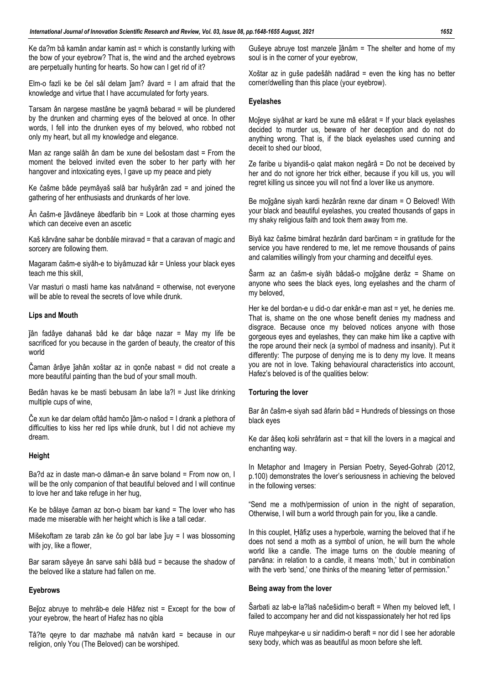Ke da?m bâ kamân andar kamin ast = which is constantly lurking with the bow of your eyebrow? That is, the wind and the arched eyebrows are perpetually hunting for hearts. So how can I get rid of it?

Elm-o fazli ke be čel sâl delam  $jan?$  âvard = I am afraid that the knowledge and virtue that I have accumulated for forty years.

Tarsam ân nargese mastâne be yaqmâ bebarad = will be plundered by the drunken and charming eyes of the beloved at once. In other words, I fell into the drunken eyes of my beloved, who robbed not only my heart, but all my knowledge and elegance.

Man az range salâh ân dam be xune del bešostam dast = From the moment the beloved invited even the sober to her party with her hangover and intoxicating eyes, I gave up my peace and piety

Ke čašme bâde peymâyaš salâ bar hušyârân zad = and joined the gathering of her enthusiasts and drunkards of her love.

 $\hat{A}$ n čašm-e  $\hat{I}$ âvdâneye âbedfarib bin = Look at those charming eyes which can deceive even an ascetic

Kaš kârvâne sahar be donbâle miravad = that a caravan of magic and sorcery are following them.

Magaram čašm-e siyâh-e to biyâmuzad kâr = Unless your black eyes teach me this skill,

Var masturi o masti hame kas natvânand = otherwise, not everyone will be able to reveal the secrets of love while drunk.

### **Lips and Mouth**

ǰân fadâye dahanaš bâd ke dar bâqe nazar = May my life be sacrificed for you because in the garden of beauty, the creator of this world

Čaman ârâye ǰahân xoštar az in qonče nabast = did not create a more beautiful painting than the bud of your small mouth.

Bedân havas ke be masti bebusam ân labe la?l = Just like drinking multiple cups of wine,

Če xun ke dar delam oftâd hamčo ǰâm-o našod = I drank a plethora of difficulties to kiss her red lips while drunk, but I did not achieve my dream.

#### **Height**

Ba?d az in daste man-o dâman-e ân sarve boland = From now on, I will be the only companion of that beautiful beloved and I will continue to love her and take refuge in her hug,

Ke be bâlaye čaman az bon-o bixam bar kand = The lover who has made me miserable with her height which is like a tall cedar.

Mišekoftam ze tarab zân ke čo gol bar labe juy = I was blossoming with joy, like a flower,

Bar saram sâyeye ân sarve sahi bâlâ bud = because the shadow of the beloved like a stature had fallen on me.

#### **Eyebrows**

Beǰoz abruye to mehrâb-e dele Hâfez nist = Except for the bow of your eyebrow, the heart of Hafez has no qibla

Tâ?te qeyre to dar mazhabe mâ natvân kard = because in our religion, only You (The Beloved) can be worshiped.

Gušeye abruye tost manzele jânâm = The shelter and home of my soul is in the corner of your eyebrow,

Xoštar az in guše padešâh nadârad = even the king has no better corner/dwelling than this place (your eyebrow).

### **Eyelashes**

Moǰeye siyâhat ar kard be xune mâ ešârat = If your black eyelashes decided to murder us, beware of her deception and do not do anything wrong. That is, if the black eyelashes used cunning and deceit to shed our blood,

Ze faribe u biyandiš-o qalat makon negârâ = Do not be deceived by her and do not ignore her trick either, because if you kill us, you will regret killing us sincee you will not find a lover like us anymore.

Be moǰgâne siyah kardi hezârân rexne dar dinam = O Beloved! With your black and beautiful eyelashes, you created thousands of gaps in my shaky religious faith and took them away from me.

Biyâ kaz čašme bimârat hezârân dard barčinam = in gratitude for the service you have rendered to me, let me remove thousands of pains and calamities willingly from your charming and deceitful eyes.

Šarm az an čašm-e siyâh bâdaš-o moǰgâne derâz = Shame on anyone who sees the black eyes, long eyelashes and the charm of my beloved,

Her ke del bordan-e u did-o dar enkâr-e man ast = yet, he denies me. That is, shame on the one whose benefit denies my madness and disgrace. Because once my beloved notices anyone with those gorgeous eyes and eyelashes, they can make him like a captive with the rope around their neck (a symbol of madness and insanity). Put it differently: The purpose of denying me is to deny my love. It means you are not in love. Taking behavioural characteristics into account, Hafez's beloved is of the qualities below:

#### **Torturing the lover**

Bar ân čašm-e siyah sad âfarin bâd = Hundreds of blessings on those black eyes

Ke dar âšeq koši sehrâfarin ast = that kill the lovers in a magical and enchanting way.

In Metaphor and Imagery in Persian Poetry, Seyed-Gohrab (2012, p.100) demonstrates the lover's seriousness in achieving the beloved in the following verses:

"Send me a moth/permission of union in the night of separation, Otherwise, I will burn a world through pain for you, like a candle.

In this couplet, Hafiz uses a hyperbole, warning the beloved that if he does not send a moth as a symbol of union, he will burn the whole world like a candle. The image turns on the double meaning of parvāna: in relation to a candle, it means 'moth,' but in combination with the verb 'send,' one thinks of the meaning 'letter of permission."

#### **Being away from the lover**

Šarbati az lab-e la?laš načešidim-o beraft = When my beloved left, I failed to accompany her and did not kisspassionately her hot red lips

Ruye mahpeykar-e u sir nadidim-o beraft = nor did I see her adorable sexy body, which was as beautiful as moon before she left.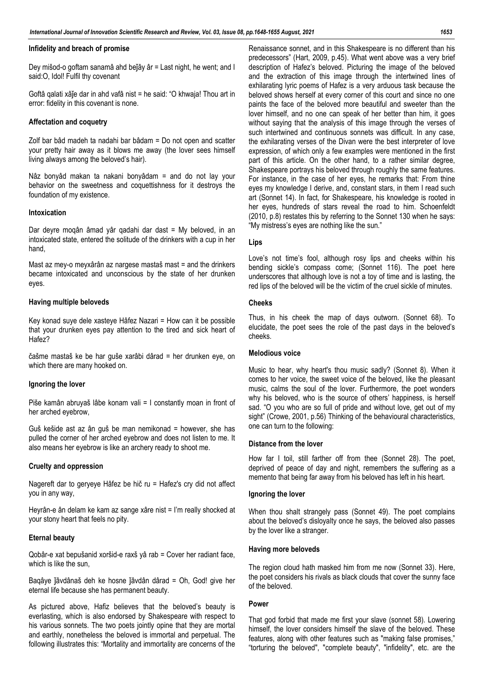#### **Infidelity and breach of promise**

Dey mišod-o goftam sanamâ ahd beǰây âr = Last night, he went; and I said:O, Idol! Fulfil thy covenant

Goftâ qalati xâǰe dar in ahd vafâ nist = he said: "O khwaja! Thou art in error: fidelity in this covenant is none.

#### **Affectation and coquetry**

Zolf bar bâd madeh ta nadahi bar bâdam = Do not open and scatter your pretty hair away as it blows me away (the lover sees himself living always among the beloved's hair).

Nâz bonyâd makan ta nakani bonyâdam = and do not lay your behavior on the sweetness and coquettishness for it destroys the foundation of my existence.

#### **Intoxication**

Dar deyre moqân âmad yâr qadahi dar dast = My beloved, in an intoxicated state, entered the solitude of the drinkers with a cup in her hand,

Mast az mey-o meyxârân az nargese mastaš mast = and the drinkers became intoxicated and unconscious by the state of her drunken eyes.

#### **Having multiple beloveds**

Key konad suye dele xasteye Hâfez Nazari = How can it be possible that your drunken eyes pay attention to the tired and sick heart of Hafez?

čašme mastaš ke be har guše xarâbi dârad = her drunken eye, on which there are many hooked on.

#### **Ignoring the lover**

Piše kamân abruyaš lâbe konam vali = I constantly moan in front of her arched eyebrow,

Guš kešide ast az ân guš be man nemikonad = however, she has pulled the corner of her arched eyebrow and does not listen to me. It also means her eyebrow is like an archery ready to shoot me.

#### **Cruelty and oppression**

Nagereft dar to geryeye Hâfez be hič ru = Hafez's cry did not affect you in any way,

Heyrân-e ân delam ke kam az sange xâre nist = I'm really shocked at your stony heart that feels no pity.

#### **Eternal beauty**

Qobâr-e xat bepušanid xoršid-e raxš yâ rab = Cover her radiant face, which is like the sun,

Baqâye jâvdânaš deh ke hosne jâvdân dârad = Oh, God! give her eternal life because she has permanent beauty.

As pictured above, Hafiz believes that the beloved's beauty is everlasting, which is also endorsed by Shakespeare with respect to his various sonnets. The two poets jointly opine that they are mortal and earthly, nonetheless the beloved is immortal and perpetual. The following illustrates this: "Mortality and immortality are concerns of the

Renaissance sonnet, and in this Shakespeare is no different than his predecessors" (Hart, 2009, p.45). What went above was a very brief description of Hafez's beloved. Picturing the image of the beloved and the extraction of this image through the intertwined lines of exhilarating lyric poems of Hafez is a very arduous task because the beloved shows herself at every corner of this court and since no one paints the face of the beloved more beautiful and sweeter than the lover himself, and no one can speak of her better than him, it goes without saying that the analysis of this image through the verses of such intertwined and continuous sonnets was difficult. In any case, the exhilarating verses of the Divan were the best interpreter of love expression, of which only a few examples were mentioned in the first part of this article. On the other hand, to a rather similar degree, Shakespeare portrays his beloved through roughly the same features. For instance, in the case of her eyes, he remarks that: From thine eyes my knowledge I derive, and, constant stars, in them I read such art (Sonnet 14). In fact, for Shakespeare, his knowledge is rooted in her eyes, hundreds of stars reveal the road to him. Schoenfeldt (2010, p.8) restates this by referring to the Sonnet 130 when he says: "My mistress's eyes are nothing like the sun."

### **Lips**

Love's not time's fool, although rosy lips and cheeks within his bending sickle's compass come; (Sonnet 116). The poet here underscores that although love is not a toy of time and is lasting, the red lips of the beloved will be the victim of the cruel sickle of minutes.

#### **Cheeks**

Thus, in his cheek the map of days outworn. (Sonnet 68). To elucidate, the poet sees the role of the past days in the beloved's cheeks.

#### **Melodious voice**

Music to hear, why heart's thou music sadly? (Sonnet 8). When it comes to her voice, the sweet voice of the beloved, like the pleasant music, calms the soul of the lover. Furthermore, the poet wonders why his beloved, who is the source of others' happiness, is herself sad. "O you who are so full of pride and without love, get out of my sight" (Crowe, 2001, p.56) Thinking of the behavioural characteristics, one can turn to the following:

#### **Distance from the lover**

How far I toil, still farther off from thee (Sonnet 28). The poet, deprived of peace of day and night, remembers the suffering as a memento that being far away from his beloved has left in his heart.

#### **Ignoring the lover**

When thou shalt strangely pass (Sonnet 49). The poet complains about the beloved's disloyalty once he says, the beloved also passes by the lover like a stranger.

#### **Having more beloveds**

The region cloud hath masked him from me now (Sonnet 33). Here, the poet considers his rivals as black clouds that cover the sunny face of the beloved.

#### **Power**

That god forbid that made me first your slave (sonnet 58). Lowering himself, the lover considers himself the slave of the beloved. These features, along with other features such as "making false promises," "torturing the beloved", "complete beauty", "infidelity", etc. are the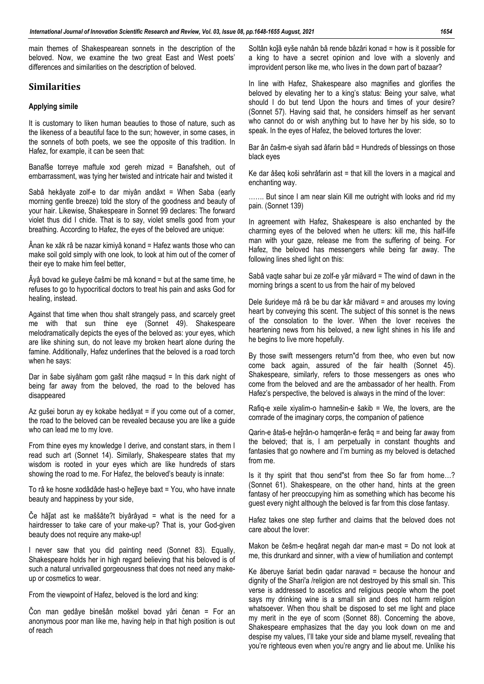main themes of Shakespearean sonnets in the description of the beloved. Now, we examine the two great East and West poets' differences and similarities on the description of beloved.

### **Similarities**

#### **Applying simile**

It is customary to liken human beauties to those of nature, such as the likeness of a beautiful face to the sun; however, in some cases, in the sonnets of both poets, we see the opposite of this tradition. In Hafez, for example, it can be seen that:

Banafše torreye maftule xod gereh mizad = Banafsheh, out of embarrassment, was tying her twisted and intricate hair and twisted it

Sabâ hekâyate zolf-e to dar miyân andâxt = When Saba (early morning gentle breeze) told the story of the goodness and beauty of your hair. Likewise, Shakespeare in Sonnet 99 declares: The forward violet thus did I chide. That is to say, violet smells good from your breathing. According to Hafez, the eyes of the beloved are unique:

Ânan ke xâk râ be nazar kimiyâ konand = Hafez wants those who can make soil gold simply with one look, to look at him out of the corner of their eye to make him feel better,

Âyâ bovad ke gušeye čašmi be mâ konand = but at the same time, he refuses to go to hypocritical doctors to treat his pain and asks God for healing, instead.

Against that time when thou shalt strangely pass, and scarcely greet me with that sun thine eye (Sonnet 49). Shakespeare melodramatically depicts the eyes of the beloved as: your eyes, which are like shining sun, do not leave my broken heart alone during the famine. Additionally, Hafez underlines that the beloved is a road torch when he says:

Dar in šabe siyâham gom gašt râhe maqsud = In this dark night of being far away from the beloved, the road to the beloved has disappeared

Az gušei borun ay ey kokabe hedâyat = if you come out of a corner, the road to the beloved can be revealed because you are like a guide who can lead me to my love.

From thine eyes my knowledge I derive, and constant stars, in them I read such art (Sonnet 14). Similarly, Shakespeare states that my wisdom is rooted in your eyes which are like hundreds of stars showing the road to me. For Hafez, the beloved's beauty is innate:

To râ ke hosne xodâdâde hast-o heǰleye baxt = You, who have innate beauty and happiness by your side,

Če hâǰat ast ke maššâte?t biyârâyad = what is the need for a hairdresser to take care of your make-up? That is, your God-given beauty does not require any make-up!

I never saw that you did painting need (Sonnet 83). Equally, Shakespeare holds her in high regard believing that his beloved is of such a natural unrivalled gorgeousness that does not need any makeup or cosmetics to wear.

From the viewpoint of Hafez, beloved is the lord and king:

Čon man gedâye binešân moškel bovad yâri čenan = For an anonymous poor man like me, having help in that high position is out of reach

Soltân koǰâ eyše nahân bâ rende bâzâri konad = how is it possible for a king to have a secret opinion and love with a slovenly and improvident person like me, who lives in the down part of bazaar?

In line with Hafez, Shakespeare also magnifies and glorifies the beloved by elevating her to a king's status: Being your salve, what should I do but tend Upon the hours and times of your desire? (Sonnet 57). Having said that, he considers himself as her servant who cannot do or wish anything but to have her by his side, so to speak. In the eyes of Hafez, the beloved tortures the lover:

Bar ân čašm-e siyah sad âfarin bâd = Hundreds of blessings on those black eyes

Ke dar âšeq koši sehrâfarin ast = that kill the lovers in a magical and enchanting way.

....... But since I am near slain Kill me outright with looks and rid my pain. (Sonnet 139)

In agreement with Hafez, Shakespeare is also enchanted by the charming eyes of the beloved when he utters: kill me, this half-life man with your gaze, release me from the suffering of being. For Hafez, the beloved has messengers while being far away. The following lines shed light on this:

Sabâ vaqte sahar bui ze zolf-e yâr miâvard = The wind of dawn in the morning brings a scent to us from the hair of my beloved

Dele šurideye mâ râ be bu dar kâr miâvard = and arouses my loving heart by conveying this scent. The subject of this sonnet is the news of the consolation to the lover. When the lover receives the heartening news from his beloved, a new light shines in his life and he begins to live more hopefully.

By those swift messengers return"d from thee, who even but now come back again, assured of the fair health (Sonnet 45). Shakespeare, similarly, refers to those messengers as ones who come from the beloved and are the ambassador of her health. From Hafez's perspective, the beloved is always in the mind of the lover:

Rafiq-e xeile xiyalim-o hamnešin-e šakib = We, the lovers, are the comrade of the imaginary corps, the companion of patience

Qarin-e âtaš-e hejrân-o hamqerân-e ferâq = and being far away from the beloved; that is, I am perpetually in constant thoughts and fantasies that go nowhere and I'm burning as my beloved is detached from me.

Is it thy spirit that thou send"st from thee So far from home…? (Sonnet 61). Shakespeare, on the other hand, hints at the green fantasy of her preoccupying him as something which has become his guest every night although the beloved is far from this close fantasy.

Hafez takes one step further and claims that the beloved does not care about the lover:

Makon be češm-e heqârat negah dar man-e mast = Do not look at me, this drunkard and sinner, with a view of humiliation and contempt

Ke âberuye šariat bedin qadar naravad = because the honour and dignity of the Shari'a /religion are not destroyed by this small sin. This verse is addressed to ascetics and religious people whom the poet says my drinking wine is a small sin and does not harm religion whatsoever. When thou shalt be disposed to set me light and place my merit in the eye of scorn (Sonnet 88). Concerning the above, Shakespeare emphasizes that the day you look down on me and despise my values, I'll take your side and blame myself, revealing that you're righteous even when you're angry and lie about me. Unlike his